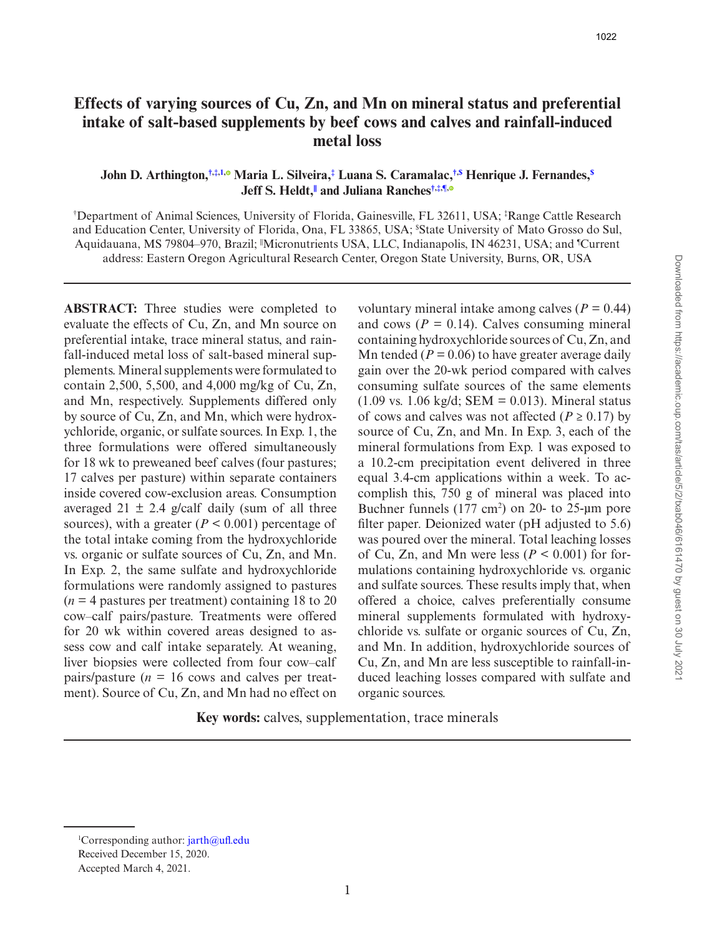# **Effects of varying sources of Cu, Zn, and Mn on mineral status and preferential intake of salt-based supplements by beef cows and calves and rainfall-induced metal loss**

## **John D. Arthington,[†](#page-0-0)[,‡](#page-0-0)[,1](#page-0-1)[,](https://orcid.org/0000-0002-3312-0506) Maria L. Silveira[,‡](#page-0-2) Luana S. Caramalac,[†](#page-0-0)[,\\$](#page-0-0) Henrique J. Fernandes,[\\$](#page-0-3) Jeff S. Heldt[,||](#page-0-0) and Juliana Ranches[†](#page-0-0),[‡,](#page-0-0)[¶](#page-0-1)[,](https://orcid.org/0000-0002-1823-2577)**

<span id="page-0-3"></span><span id="page-0-2"></span><span id="page-0-1"></span><span id="page-0-0"></span>† Department of Animal Sciences, University of Florida, Gainesville, FL 32611, USA; ‡ Range Cattle Research and Education Center, University of Florida, Ona, FL 33865, USA; \$ State University of Mato Grosso do Sul, Aquidauana, MS 79804–970, Brazil; "Micronutrients USA, LLC, Indianapolis, IN 46231, USA; and "Current address: Eastern Oregon Agricultural Research Center, Oregon State University, Burns, OR, USA

**ABSTRACT:**  Three studies were completed to evaluate the effects of Cu, Zn, and Mn source on preferential intake, trace mineral status, and rainfall-induced metal loss of salt-based mineral supplements. Mineral supplements were formulated to contain 2,500, 5,500, and 4,000 mg/kg of Cu, Zn, and Mn, respectively. Supplements differed only by source of Cu, Zn, and Mn, which were hydroxychloride, organic, or sulfate sources. In Exp. 1, the three formulations were offered simultaneously for 18 wk to preweaned beef calves (four pastures; 17 calves per pasture) within separate containers inside covered cow-exclusion areas. Consumption averaged 21  $\pm$  2.4 g/calf daily (sum of all three sources), with a greater  $(P < 0.001)$  percentage of the total intake coming from the hydroxychloride vs. organic or sulfate sources of Cu, Zn, and Mn. In Exp. 2, the same sulfate and hydroxychloride formulations were randomly assigned to pastures  $(n = 4$  pastures per treatment) containing 18 to 20 cow–calf pairs/pasture. Treatments were offered for 20 wk within covered areas designed to assess cow and calf intake separately. At weaning, liver biopsies were collected from four cow–calf pairs/pasture  $(n = 16$  cows and calves per treatment). Source of Cu, Zn, and Mn had no effect on voluntary mineral intake among calves (*P =* 0.44) and cows  $(P = 0.14)$ . Calves consuming mineral containing hydroxychloride sources of Cu, Zn, and Mn tended ( $P = 0.06$ ) to have greater average daily gain over the 20-wk period compared with calves consuming sulfate sources of the same elements  $(1.09 \text{ vs. } 1.06 \text{ kg/d}; \text{SEM} = 0.013)$ . Mineral status of cows and calves was not affected ( $P \ge 0.17$ ) by source of Cu, Zn, and Mn. In Exp. 3, each of the mineral formulations from Exp. 1 was exposed to a 10.2-cm precipitation event delivered in three equal 3.4-cm applications within a week. To accomplish this, 750 g of mineral was placed into Buchner funnels  $(177 \text{ cm}^2)$  on 20- to 25-µm pore filter paper. Deionized water (pH adjusted to 5.6) was poured over the mineral. Total leaching losses of Cu, Zn, and Mn were less ( $P \le 0.001$ ) for formulations containing hydroxychloride vs. organic and sulfate sources. These results imply that, when offered a choice, calves preferentially consume mineral supplements formulated with hydroxychloride vs. sulfate or organic sources of Cu, Zn, and Mn. In addition, hydroxychloride sources of Cu, Zn, and Mn are less susceptible to rainfall-induced leaching losses compared with sulfate and organic sources.

**Key words:** calves, supplementation, trace minerals

<sup>&</sup>lt;sup>1</sup>Corresponding author: [jarth@ufl.edu](mailto:jarth@ufl.edu?subject=)

Received December 15, 2020.

Accepted March 4, 2021.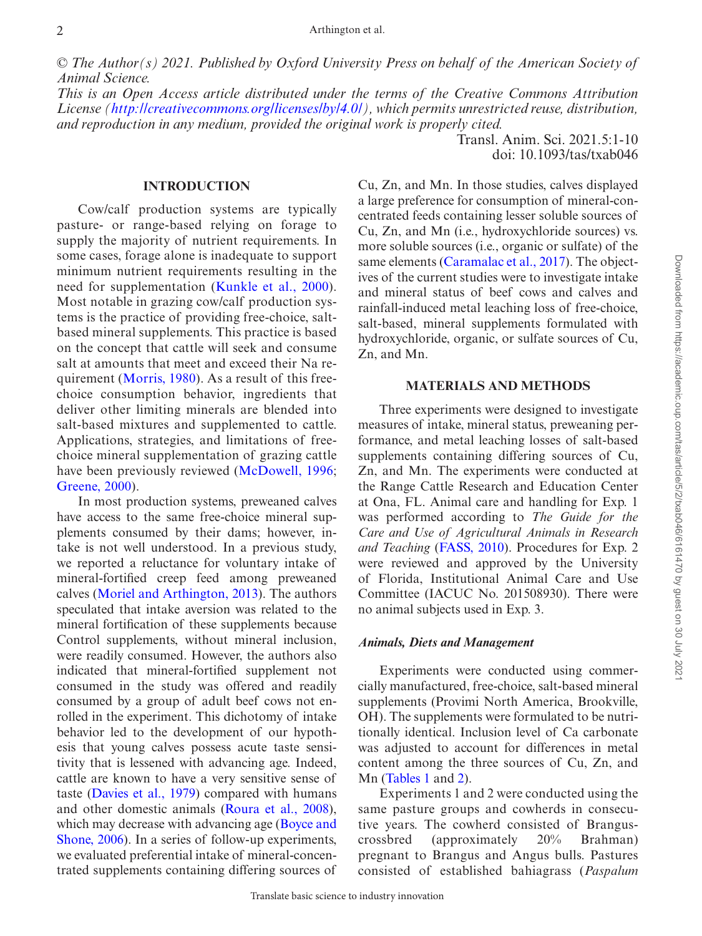*© The Author(s) 2021. Published by Oxford University Press on behalf of the American Society of Animal Science.*

*This is an Open Access article distributed under the terms of the Creative Commons Attribution License [\(http://creativecommons.org/licenses/by/4.0/](http://creativecommons.org/licenses/by/4.0/)), which permits unrestricted reuse, distribution, and reproduction in any medium, provided the original work is properly cited.*

**INTRODUCTION**

Cow/calf production systems are typically pasture- or range-based relying on forage to supply the majority of nutrient requirements. In some cases, forage alone is inadequate to support minimum nutrient requirements resulting in the need for supplementation ([Kunkle et al., 2000](#page-8-0)). Most notable in grazing cow/calf production systems is the practice of providing free-choice, saltbased mineral supplements. This practice is based on the concept that cattle will seek and consume salt at amounts that meet and exceed their Na requirement ([Morris, 1980\)](#page-9-0). As a result of this freechoice consumption behavior, ingredients that deliver other limiting minerals are blended into salt-based mixtures and supplemented to cattle. Applications, strategies, and limitations of freechoice mineral supplementation of grazing cattle have been previously reviewed ([McDowell, 1996](#page-8-1); [Greene, 2000](#page-8-2)).

In most production systems, preweaned calves have access to the same free-choice mineral supplements consumed by their dams; however, intake is not well understood. In a previous study, we reported a reluctance for voluntary intake of mineral-fortified creep feed among preweaned calves [\(Moriel and Arthington, 2013](#page-8-3)). The authors speculated that intake aversion was related to the mineral fortification of these supplements because Control supplements, without mineral inclusion, were readily consumed. However, the authors also indicated that mineral-fortified supplement not consumed in the study was offered and readily consumed by a group of adult beef cows not enrolled in the experiment. This dichotomy of intake behavior led to the development of our hypothesis that young calves possess acute taste sensitivity that is lessened with advancing age. Indeed, cattle are known to have a very sensitive sense of taste [\(Davies et al., 1979](#page-8-4)) compared with humans and other domestic animals [\(Roura et al., 2008](#page-9-1)), which may decrease with advancing age ([Boyce and](#page-8-5) [Shone, 2006\)](#page-8-5). In a series of follow-up experiments, we evaluated preferential intake of mineral-concentrated supplements containing differing sources of

Cu, Zn, and Mn. In those studies, calves displayed a large preference for consumption of mineral-concentrated feeds containing lesser soluble sources of Cu, Zn, and Mn (i.e., hydroxychloride sources) vs. more soluble sources (i.e., organic or sulfate) of the same elements [\(Caramalac et al., 2017](#page-8-6)). The objectives of the current studies were to investigate intake and mineral status of beef cows and calves and rainfall-induced metal leaching loss of free-choice, salt-based, mineral supplements formulated with hydroxychloride, organic, or sulfate sources of Cu, Zn, and Mn.

Transl. Anim. Sci. 2021.5:1-10 doi: 10.1093/tas/txab046

## **MATERIALS AND METHODS**

Three experiments were designed to investigate measures of intake, mineral status, preweaning performance, and metal leaching losses of salt-based supplements containing differing sources of Cu, Zn, and Mn. The experiments were conducted at the Range Cattle Research and Education Center at Ona, FL. Animal care and handling for Exp. 1 was performed according to *The Guide for the Care and Use of Agricultural Animals in Research and Teaching* [\(FASS, 2010\)](#page-8-7). Procedures for Exp. 2 were reviewed and approved by the University of Florida, Institutional Animal Care and Use Committee (IACUC No. 201508930). There were no animal subjects used in Exp. 3.

#### *Animals, Diets and Management*

Experiments were conducted using commercially manufactured, free-choice, salt-based mineral supplements (Provimi North America, Brookville, OH). The supplements were formulated to be nutritionally identical. Inclusion level of Ca carbonate was adjusted to account for differences in metal content among the three sources of Cu, Zn, and Mn [\(Tables 1](#page-2-0) and [2\)](#page-2-1).

Experiments 1 and 2 were conducted using the same pasture groups and cowherds in consecutive years. The cowherd consisted of Branguscrossbred (approximately 20% Brahman) pregnant to Brangus and Angus bulls. Pastures consisted of established bahiagrass (*Paspalum*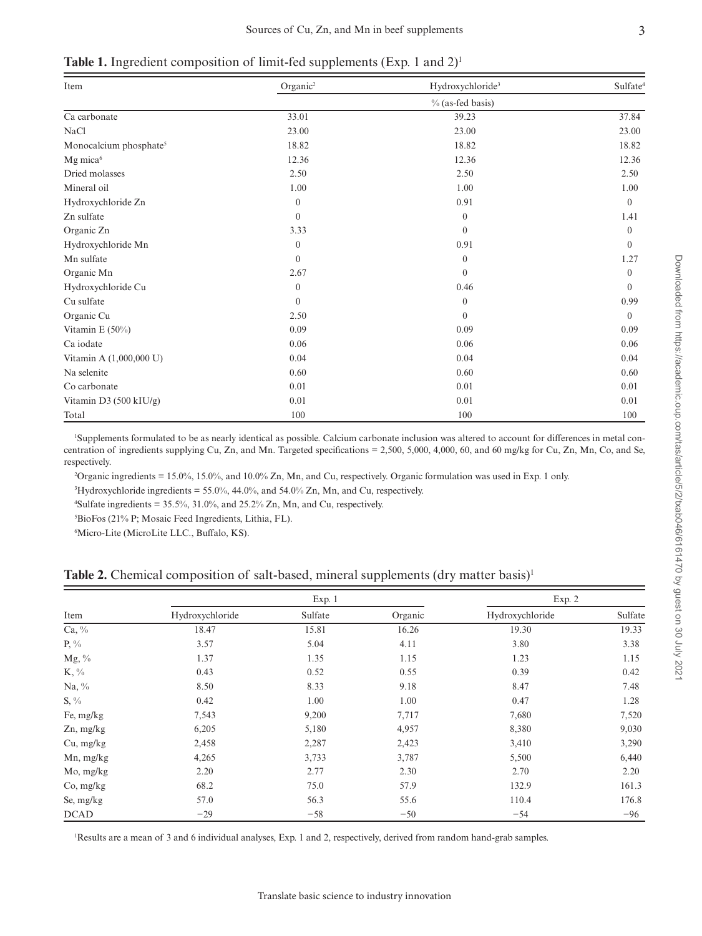<span id="page-2-0"></span>**Table 1.** Ingredient composition of limit-fed supplements (Exp. 1 and 2)<sup>1</sup>

| Item                               | Organic <sup>2</sup> | Hydroxychloride <sup>3</sup> | Sulfate <sup>4</sup> |  |
|------------------------------------|----------------------|------------------------------|----------------------|--|
|                                    | $\%$ (as-fed basis)  |                              |                      |  |
| Ca carbonate                       | 33.01                | 39.23                        | 37.84                |  |
| <b>NaCl</b>                        | 23.00                | 23.00                        | 23.00                |  |
| Monocalcium phosphate <sup>5</sup> | 18.82                | 18.82                        | 18.82                |  |
| Mg mica <sup>6</sup>               | 12.36                | 12.36                        | 12.36                |  |
| Dried molasses                     | 2.50                 | 2.50                         | 2.50                 |  |
| Mineral oil                        | 1.00                 | 1.00                         | 1.00                 |  |
| Hydroxychloride Zn                 | $\boldsymbol{0}$     | 0.91                         | $\theta$             |  |
| Zn sulfate                         | $\mathbf{0}$         | $\mathbf{0}$                 | 1.41                 |  |
| Organic Zn                         | 3.33                 | $\mathbf{0}$                 | $\mathbf{0}$         |  |
| Hydroxychloride Mn                 | $\mathbf{0}$         | 0.91                         | $\Omega$             |  |
| Mn sulfate                         | $\mathbf{0}$         | $\mathbf{0}$                 | 1.27                 |  |
| Organic Mn                         | 2.67                 | $\Omega$                     | $\theta$             |  |
| Hydroxychloride Cu                 | $\boldsymbol{0}$     | 0.46                         | $\theta$             |  |
| Cu sulfate                         | $\mathbf{0}$         | $\theta$                     | 0.99                 |  |
| Organic Cu                         | 2.50                 | $\Omega$                     | $\theta$             |  |
| Vitamin E $(50\%)$                 | 0.09                 | 0.09                         | 0.09                 |  |
| Ca iodate                          | 0.06                 | 0.06                         | 0.06                 |  |
| Vitamin A (1,000,000 U)            | 0.04                 | 0.04                         | 0.04                 |  |
| Na selenite                        | 0.60                 | 0.60                         | 0.60                 |  |
| Co carbonate                       | 0.01                 | 0.01                         | 0.01                 |  |
| Vitamin D3 (500 kIU/g)             | 0.01                 | 0.01                         | 0.01                 |  |
| Total                              | 100                  | 100                          | 100                  |  |

1 Supplements formulated to be as nearly identical as possible. Calcium carbonate inclusion was altered to account for differences in metal concentration of ingredients supplying Cu, Zn, and Mn. Targeted specifications = 2,500, 5,000, 4,000, 60, and 60 mg/kg for Cu, Zn, Mn, Co, and Se, respectively.

2 Organic ingredients = 15.0%, 15.0%, and 10.0% Zn, Mn, and Cu, respectively. Organic formulation was used in Exp. 1 only.

<sup>3</sup>Hydroxychloride ingredients =  $55.0\%$ , 44.0%, and  $54.0\%$  Zn, Mn, and Cu, respectively.

<sup>4</sup>Sulfate ingredients =  $35.5\%$ ,  $31.0\%$ , and  $25.2\%$  Zn, Mn, and Cu, respectively.

5 BioFos (21% P; Mosaic Feed Ingredients, Lithia, FL).

6 Micro-Lite (MicroLite LLC., Buffalo, KS).

| Item             |                 | Exp. 1  |         | Exp. 2          |         |
|------------------|-----------------|---------|---------|-----------------|---------|
|                  | Hydroxychloride | Sulfate | Organic | Hydroxychloride | Sulfate |
| $Ca, \%$         | 18.47           | 15.81   | 16.26   | 19.30           | 19.33   |
| $P, \frac{0}{0}$ | 3.57            | 5.04    | 4.11    | 3.80            | 3.38    |
| $Mg, \%$         | 1.37            | 1.35    | 1.15    | 1.23            | 1.15    |
| K, %             | 0.43            | 0.52    | 0.55    | 0.39            | 0.42    |
| $Na, \%$         | 8.50            | 8.33    | 9.18    | 8.47            | 7.48    |
| $S, \frac{0}{0}$ | 0.42            | 1.00    | 1.00    | 0.47            | 1.28    |
| Fe, mg/kg        | 7,543           | 9,200   | 7,717   | 7,680           | 7,520   |
| Zn, mg/kg        | 6,205           | 5,180   | 4,957   | 8,380           | 9,030   |
| Cu, mg/kg        | 2,458           | 2,287   | 2,423   | 3,410           | 3,290   |
| Mn, mg/kg        | 4,265           | 3,733   | 3,787   | 5,500           | 6,440   |
| Mo, mg/kg        | 2.20            | 2.77    | 2.30    | 2.70            | 2.20    |
| Co, mg/kg        | 68.2            | 75.0    | 57.9    | 132.9           | 161.3   |
| Se, mg/kg        | 57.0            | 56.3    | 55.6    | 110.4           | 176.8   |
| DCAD             | $-29$           | $-58$   | $-50$   | $-54$           | $-96$   |

<span id="page-2-1"></span>**Table 2.** Chemical composition of salt-based, mineral supplements (dry matter basis)<sup>1</sup>

Results are a mean of 3 and 6 individual analyses, Exp. 1 and 2, respectively, derived from random hand-grab samples.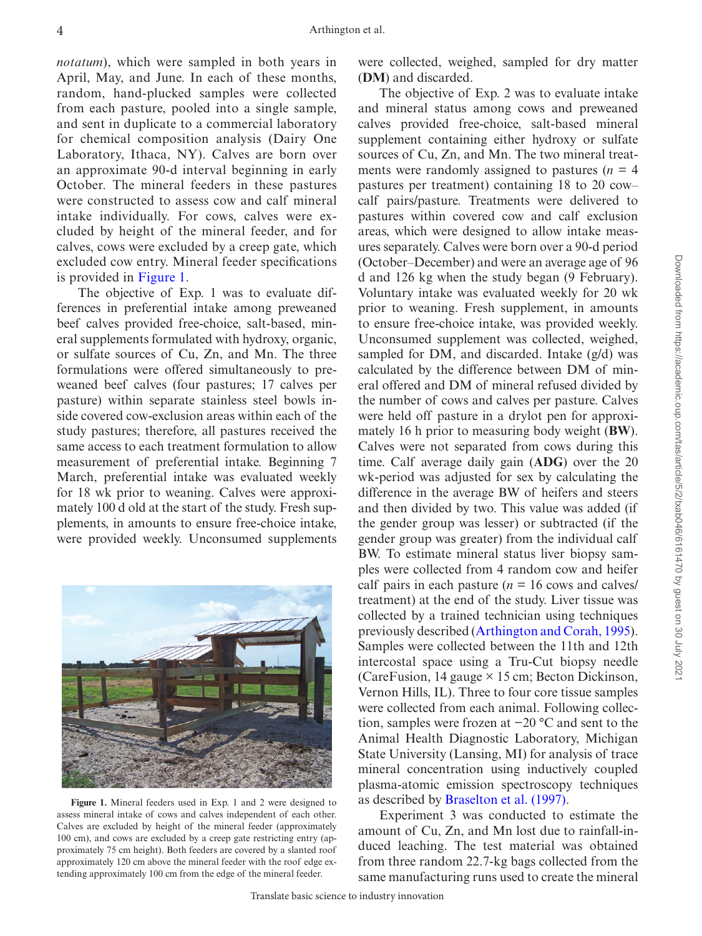*notatum*), which were sampled in both years in April, May, and June. In each of these months, random, hand-plucked samples were collected from each pasture, pooled into a single sample, and sent in duplicate to a commercial laboratory for chemical composition analysis (Dairy One Laboratory, Ithaca, NY). Calves are born over an approximate 90-d interval beginning in early October. The mineral feeders in these pastures were constructed to assess cow and calf mineral intake individually. For cows, calves were excluded by height of the mineral feeder, and for calves, cows were excluded by a creep gate, which excluded cow entry. Mineral feeder specifications is provided in [Figure 1](#page-3-0).

The objective of Exp. 1 was to evaluate differences in preferential intake among preweaned beef calves provided free-choice, salt-based, mineral supplements formulated with hydroxy, organic, or sulfate sources of Cu, Zn, and Mn. The three formulations were offered simultaneously to preweaned beef calves (four pastures; 17 calves per pasture) within separate stainless steel bowls inside covered cow-exclusion areas within each of the study pastures; therefore, all pastures received the same access to each treatment formulation to allow measurement of preferential intake. Beginning 7 March, preferential intake was evaluated weekly for 18 wk prior to weaning. Calves were approximately 100 d old at the start of the study. Fresh supplements, in amounts to ensure free-choice intake, were provided weekly. Unconsumed supplements

<span id="page-3-0"></span>

**Figure 1.** Mineral feeders used in Exp. 1 and 2 were designed to assess mineral intake of cows and calves independent of each other. Calves are excluded by height of the mineral feeder (approximately 100 cm), and cows are excluded by a creep gate restricting entry (approximately 75 cm height). Both feeders are covered by a slanted roof approximately 120 cm above the mineral feeder with the roof edge extending approximately 100 cm from the edge of the mineral feeder.

were collected, weighed, sampled for dry matter (**DM**) and discarded.

The objective of Exp. 2 was to evaluate intake and mineral status among cows and preweaned calves provided free-choice, salt-based mineral supplement containing either hydroxy or sulfate sources of Cu, Zn, and Mn. The two mineral treatments were randomly assigned to pastures  $(n = 4)$ pastures per treatment) containing 18 to 20 cow– calf pairs/pasture. Treatments were delivered to pastures within covered cow and calf exclusion areas, which were designed to allow intake measures separately. Calves were born over a 90-d period (October–December) and were an average age of 96 d and 126 kg when the study began (9 February). Voluntary intake was evaluated weekly for 20 wk prior to weaning. Fresh supplement, in amounts to ensure free-choice intake, was provided weekly. Unconsumed supplement was collected, weighed, sampled for DM, and discarded. Intake (g/d) was calculated by the difference between DM of mineral offered and DM of mineral refused divided by the number of cows and calves per pasture. Calves were held off pasture in a drylot pen for approximately 16 h prior to measuring body weight (**BW**). Calves were not separated from cows during this time. Calf average daily gain (**ADG**) over the 20 wk-period was adjusted for sex by calculating the difference in the average BW of heifers and steers and then divided by two. This value was added (if the gender group was lesser) or subtracted (if the gender group was greater) from the individual calf BW. To estimate mineral status liver biopsy samples were collected from 4 random cow and heifer calf pairs in each pasture  $(n = 16 \text{ cows and calves})$ treatment) at the end of the study. Liver tissue was collected by a trained technician using techniques previously described ([Arthington and Corah, 1995](#page-8-8)). Samples were collected between the 11th and 12th intercostal space using a Tru-Cut biopsy needle (CareFusion, 14 gauge  $\times$  15 cm; Becton Dickinson, Vernon Hills, IL). Three to four core tissue samples were collected from each animal. Following collection, samples were frozen at −20 °C and sent to the Animal Health Diagnostic Laboratory, Michigan State University (Lansing, MI) for analysis of trace mineral concentration using inductively coupled plasma-atomic emission spectroscopy techniques as described by [Braselton et al. \(1997\).](#page-8-9)

Experiment 3 was conducted to estimate the amount of Cu, Zn, and Mn lost due to rainfall-induced leaching. The test material was obtained from three random 22.7-kg bags collected from the same manufacturing runs used to create the mineral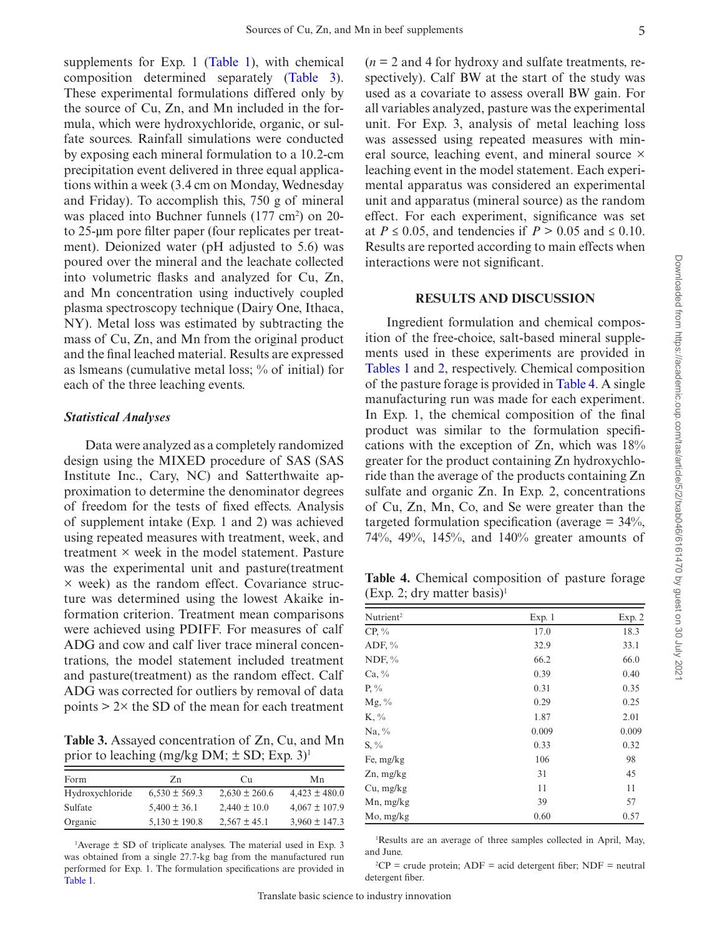supplements for Exp. 1 ([Table 1](#page-2-0)), with chemical composition determined separately [\(Table 3](#page-4-0)). These experimental formulations differed only by the source of Cu, Zn, and Mn included in the formula, which were hydroxychloride, organic, or sulfate sources. Rainfall simulations were conducted by exposing each mineral formulation to a 10.2-cm precipitation event delivered in three equal applications within a week (3.4 cm on Monday, Wednesday and Friday). To accomplish this, 750 g of mineral was placed into Buchner funnels  $(177 \text{ cm}^2)$  on 20to 25-µm pore filter paper (four replicates per treatment). Deionized water (pH adjusted to 5.6) was poured over the mineral and the leachate collected into volumetric flasks and analyzed for Cu, Zn, and Mn concentration using inductively coupled plasma spectroscopy technique (Dairy One, Ithaca, NY). Metal loss was estimated by subtracting the mass of Cu, Zn, and Mn from the original product and the final leached material. Results are expressed as lsmeans (cumulative metal loss; % of initial) for each of the three leaching events.

### *Statistical Analyses*

Data were analyzed as a completely randomized design using the MIXED procedure of SAS (SAS Institute Inc., Cary, NC) and Satterthwaite approximation to determine the denominator degrees of freedom for the tests of fixed effects. Analysis of supplement intake (Exp. 1 and 2) was achieved using repeated measures with treatment, week, and treatment × week in the model statement. Pasture was the experimental unit and pasture(treatment  $\times$  week) as the random effect. Covariance structure was determined using the lowest Akaike information criterion. Treatment mean comparisons were achieved using PDIFF. For measures of calf ADG and cow and calf liver trace mineral concentrations, the model statement included treatment and pasture(treatment) as the random effect. Calf ADG was corrected for outliers by removal of data points  $> 2 \times$  the SD of the mean for each treatment

<span id="page-4-0"></span>**Table 3.** Assayed concentration of Zn, Cu, and Mn prior to leaching (mg/kg DM;  $\pm$  SD; Exp. 3)<sup>1</sup>

| Form            | Zn                | Cu                | Mn                |
|-----------------|-------------------|-------------------|-------------------|
| Hydroxychloride | $6,530 \pm 569.3$ | $2,630 \pm 260.6$ | $4,423 \pm 480.0$ |
| Sulfate         | $5,400 \pm 36.1$  | $2.440 \pm 10.0$  | $4,067 \pm 107.9$ |
| Organic         | $5,130 \pm 190.8$ | $2.567 \pm 45.1$  | $3,960 \pm 147.3$ |

1 Average ± SD of triplicate analyses. The material used in Exp. 3 was obtained from a single 27.7-kg bag from the manufactured run performed for Exp. 1. The formulation specifications are provided in [Table 1.](#page-2-0)

 $(n = 2$  and 4 for hydroxy and sulfate treatments, respectively). Calf BW at the start of the study was used as a covariate to assess overall BW gain. For all variables analyzed, pasture was the experimental unit. For Exp. 3, analysis of metal leaching loss was assessed using repeated measures with mineral source, leaching event, and mineral source  $\times$ leaching event in the model statement. Each experimental apparatus was considered an experimental unit and apparatus (mineral source) as the random effect. For each experiment, significance was set at  $P \le 0.05$ , and tendencies if  $P > 0.05$  and  $\le 0.10$ . Results are reported according to main effects when interactions were not significant.

## **RESULTS AND DISCUSSION**

Ingredient formulation and chemical composition of the free-choice, salt-based mineral supplements used in these experiments are provided in [Tables 1](#page-2-0) and [2](#page-2-1), respectively. Chemical composition of the pasture forage is provided in [Table 4.](#page-4-1) A single manufacturing run was made for each experiment. In Exp. 1, the chemical composition of the final product was similar to the formulation specifications with the exception of Zn, which was 18% greater for the product containing Zn hydroxychloride than the average of the products containing Zn sulfate and organic Zn. In Exp. 2, concentrations of Cu, Zn, Mn, Co, and Se were greater than the targeted formulation specification (average  $= 34\%$ , 74%, 49%, 145%, and 140% greater amounts of

<span id="page-4-1"></span>Table 4. Chemical composition of pasture forage  $(Exp. 2; dry matter basis)^1$ 

| Nutrient <sup>2</sup> | Exp. 1 | Exp. 2 |
|-----------------------|--------|--------|
| $CP, \%$              | 17.0   | 18.3   |
| ADF, $\%$             | 32.9   | 33.1   |
| NDF, $\%$             | 66.2   | 66.0   |
| $Ca, \%$              | 0.39   | 0.40   |
| $P, \%$               | 0.31   | 0.35   |
| $Mg, \%$              | 0.29   | 0.25   |
| $K, \%$               | 1.87   | 2.01   |
| Na, $\%$              | 0.009  | 0.009  |
| $S, \%$               | 0.33   | 0.32   |
| Fe, mg/kg             | 106    | 98     |
| $Zn$ , mg/kg          | 31     | 45     |
| Cu, mg/kg             | 11     | 11     |
| Mn, mg/kg             | 39     | 57     |
| Mo, mg/kg             | 0.60   | 0.57   |

1 Results are an average of three samples collected in April, May, and June.

 ${}^{2}CP$  = crude protein; ADF = acid detergent fiber; NDF = neutral detergent fiber.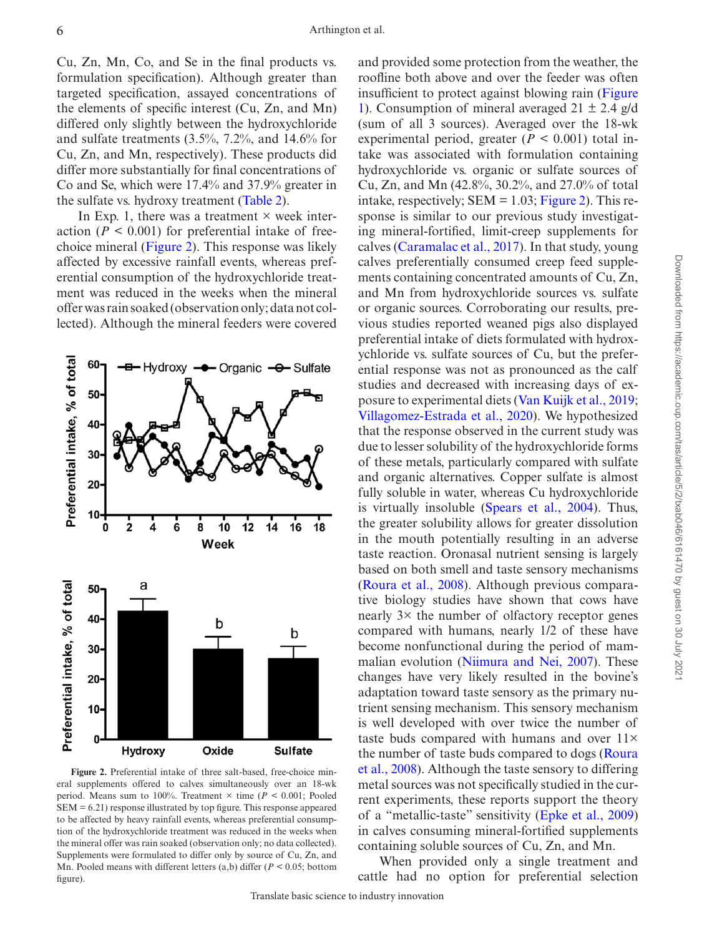Cu, Zn, Mn, Co, and Se in the final products vs. formulation specification). Although greater than targeted specification, assayed concentrations of the elements of specific interest (Cu, Zn, and Mn) differed only slightly between the hydroxychloride and sulfate treatments (3.5%, 7.2%, and 14.6% for Cu, Zn, and Mn, respectively). These products did differ more substantially for final concentrations of Co and Se, which were 17.4% and 37.9% greater in the sulfate vs. hydroxy treatment [\(Table 2\)](#page-2-1).

In Exp. 1, there was a treatment  $\times$  week interaction  $(P < 0.001)$  for preferential intake of freechoice mineral [\(Figure 2\)](#page-5-0). This response was likely affected by excessive rainfall events, whereas preferential consumption of the hydroxychloride treatment was reduced in the weeks when the mineral offer was rain soaked (observation only; data not collected). Although the mineral feeders were covered



<span id="page-5-0"></span>**Figure 2.** Preferential intake of three salt-based, free-choice mineral supplements offered to calves simultaneously over an 18-wk period. Means sum to 100%. Treatment × time (*P <* 0.001; Pooled SEM = 6.21) response illustrated by top figure. This response appeared to be affected by heavy rainfall events, whereas preferential consumption of the hydroxychloride treatment was reduced in the weeks when the mineral offer was rain soaked (observation only; no data collected). Supplements were formulated to differ only by source of Cu, Zn, and Mn. Pooled means with different letters (a,b) differ (*P <* 0.05; bottom figure).

and provided some protection from the weather, the roofline both above and over the feeder was often insufficient to protect against blowing rain [\(Figure](#page-3-0) [1](#page-3-0)). Consumption of mineral averaged  $21 \pm 2.4$  g/d (sum of all 3 sources). Averaged over the 18-wk experimental period, greater  $(P < 0.001)$  total intake was associated with formulation containing hydroxychloride vs. organic or sulfate sources of Cu, Zn, and Mn (42.8%, 30.2%, and 27.0% of total intake, respectively;  $SEM = 1.03$ ; [Figure 2](#page-5-0)). This response is similar to our previous study investigating mineral-fortified, limit-creep supplements for calves ([Caramalac et al., 2017](#page-8-6)). In that study, young calves preferentially consumed creep feed supplements containing concentrated amounts of Cu, Zn, and Mn from hydroxychloride sources vs. sulfate or organic sources. Corroborating our results, previous studies reported weaned pigs also displayed preferential intake of diets formulated with hydroxychloride vs. sulfate sources of Cu, but the preferential response was not as pronounced as the calf studies and decreased with increasing days of exposure to experimental diets [\(Van Kuijk et al., 2019](#page-9-2); [Villagomez-Estrada et al., 2020\)](#page-9-3). We hypothesized that the response observed in the current study was due to lesser solubility of the hydroxychloride forms of these metals, particularly compared with sulfate and organic alternatives. Copper sulfate is almost fully soluble in water, whereas Cu hydroxychloride is virtually insoluble ([Spears et al., 2004](#page-9-4)). Thus, the greater solubility allows for greater dissolution in the mouth potentially resulting in an adverse taste reaction. Oronasal nutrient sensing is largely based on both smell and taste sensory mechanisms ([Roura et al., 2008](#page-9-1)). Although previous comparative biology studies have shown that cows have nearly 3× the number of olfactory receptor genes compared with humans, nearly 1/2 of these have become nonfunctional during the period of mammalian evolution ([Niimura and Nei, 2007\)](#page-9-5). These changes have very likely resulted in the bovine's adaptation toward taste sensory as the primary nutrient sensing mechanism. This sensory mechanism is well developed with over twice the number of taste buds compared with humans and over 11× the number of taste buds compared to dogs ([Roura](#page-9-1) [et al., 2008\)](#page-9-1). Although the taste sensory to differing metal sources was not specifically studied in the current experiments, these reports support the theory of a "metallic-taste" sensitivity ([Epke et al., 2009](#page-8-10)) in calves consuming mineral-fortified supplements containing soluble sources of Cu, Zn, and Mn.

When provided only a single treatment and cattle had no option for preferential selection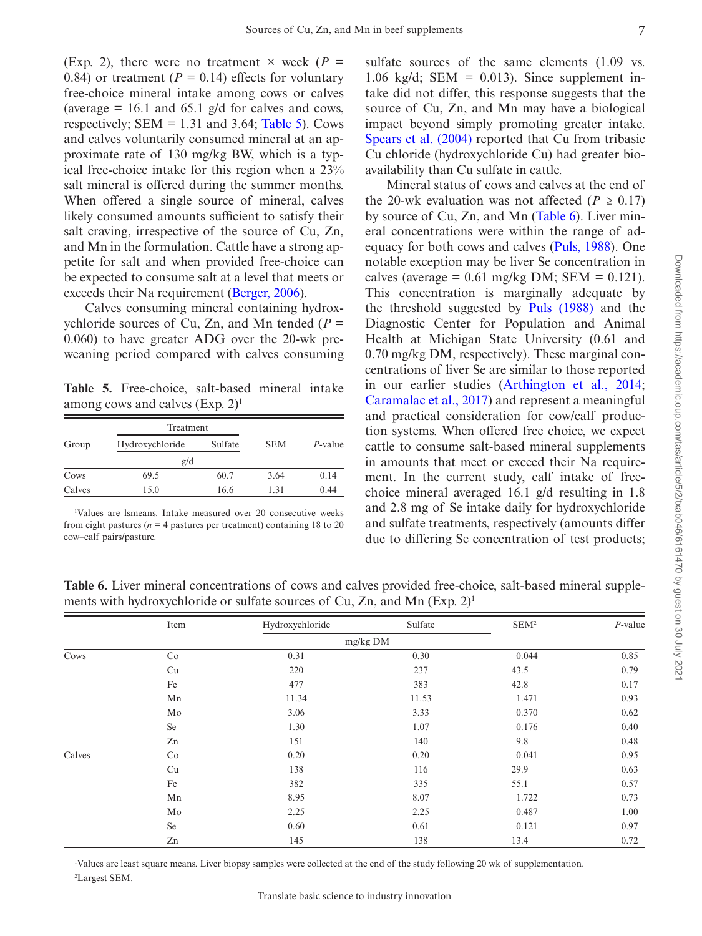(Exp. 2), there were no treatment  $\times$  week ( $P =$ 0.84) or treatment ( $P = 0.14$ ) effects for voluntary free-choice mineral intake among cows or calves (average  $= 16.1$  and 65.1 g/d for calves and cows, respectively;  $SEM = 1.31$  and 3.64; [Table 5](#page-6-0)). Cows and calves voluntarily consumed mineral at an approximate rate of 130 mg/kg BW, which is a typical free-choice intake for this region when a 23% salt mineral is offered during the summer months. When offered a single source of mineral, calves likely consumed amounts sufficient to satisfy their salt craving, irrespective of the source of Cu, Zn, and Mn in the formulation. Cattle have a strong appetite for salt and when provided free-choice can be expected to consume salt at a level that meets or exceeds their Na requirement [\(Berger, 2006\)](#page-8-11).

Calves consuming mineral containing hydroxychloride sources of Cu, Zn, and Mn tended (*P =* 0.060) to have greater ADG over the 20-wk preweaning period compared with calves consuming

<span id="page-6-0"></span>**Table 5.**  Free-choice, salt-based mineral intake among cows and calves  $(Exp. 2)^1$ 

|        | Treatment       |         |            |            |
|--------|-----------------|---------|------------|------------|
| Group  | Hydroxychloride | Sulfate | <b>SEM</b> | $P$ -value |
|        | g/d             |         |            |            |
| Cows   | 69.5            | 60.7    | 3.64       | 0.14       |
| Calves | 15.0            | 16.6    | 1.31       | 0.44       |

1 Values are lsmeans. Intake measured over 20 consecutive weeks from eight pastures ( $n = 4$  pastures per treatment) containing 18 to 20 cow–calf pairs/pasture.

sulfate sources of the same elements (1.09 vs. 1.06  $kg/d$ ; SEM = 0.013). Since supplement intake did not differ, this response suggests that the source of Cu, Zn, and Mn may have a biological impact beyond simply promoting greater intake. [Spears et al. \(2004\)](#page-9-4) reported that Cu from tribasic Cu chloride (hydroxychloride Cu) had greater bioavailability than Cu sulfate in cattle.

Mineral status of cows and calves at the end of the 20-wk evaluation was not affected ( $P \ge 0.17$ ) by source of Cu, Zn, and Mn [\(Table 6](#page-6-1)). Liver mineral concentrations were within the range of adequacy for both cows and calves ([Puls, 1988\)](#page-9-6). One notable exception may be liver Se concentration in calves (average =  $0.61$  mg/kg DM; SEM =  $0.121$ ). This concentration is marginally adequate by the threshold suggested by [Puls \(1988\)](#page-9-6) and the Diagnostic Center for Population and Animal Health at Michigan State University (0.61 and 0.70 mg/kg DM, respectively). These marginal concentrations of liver Se are similar to those reported in our earlier studies ([Arthington et al., 2014](#page-8-12); [Caramalac et al., 2017\)](#page-8-6) and represent a meaningful and practical consideration for cow/calf production systems. When offered free choice, we expect cattle to consume salt-based mineral supplements in amounts that meet or exceed their Na requirement. In the current study, calf intake of freechoice mineral averaged 16.1 g/d resulting in 1.8 and 2.8 mg of Se intake daily for hydroxychloride and sulfate treatments, respectively (amounts differ due to differing Se concentration of test products;

<span id="page-6-1"></span>**Table 6.** Liver mineral concentrations of cows and calves provided free-choice, salt-based mineral supplements with hydroxychloride or sulfate sources of Cu, Zn, and Mn  $(Exp, 2)^1$ 

|        | Item | Hydroxychloride | Sulfate | SEM <sup>2</sup> | $P$ -value |  |
|--------|------|-----------------|---------|------------------|------------|--|
|        |      | mg/kg DM        |         |                  |            |  |
| Cows   | Co   | 0.31            | 0.30    | 0.044            | 0.85       |  |
|        | Cu   | 220             | 237     | 43.5             | 0.79       |  |
|        | Fe   | 477             | 383     | 42.8             | 0.17       |  |
|        | Mn   | 11.34           | 11.53   | 1.471            | 0.93       |  |
|        | Mo   | 3.06            | 3.33    | 0.370            | 0.62       |  |
|        | Se   | 1.30            | 1.07    | 0.176            | 0.40       |  |
|        | Zn   | 151             | 140     | 9.8              | 0.48       |  |
| Calves | Co   | 0.20            | 0.20    | 0.041            | 0.95       |  |
|        | Cu   | 138             | 116     | 29.9             | 0.63       |  |
|        | Fe   | 382             | 335     | 55.1             | 0.57       |  |
|        | Mn   | 8.95            | 8.07    | 1.722            | 0.73       |  |
|        | Mo   | 2.25            | 2.25    | 0.487            | 1.00       |  |
|        | Se   | 0.60            | 0.61    | 0.121            | 0.97       |  |
|        | Zn   | 145             | 138     | 13.4             | 0.72       |  |

1 Values are least square means. Liver biopsy samples were collected at the end of the study following 20 wk of supplementation. 2 Largest SEM.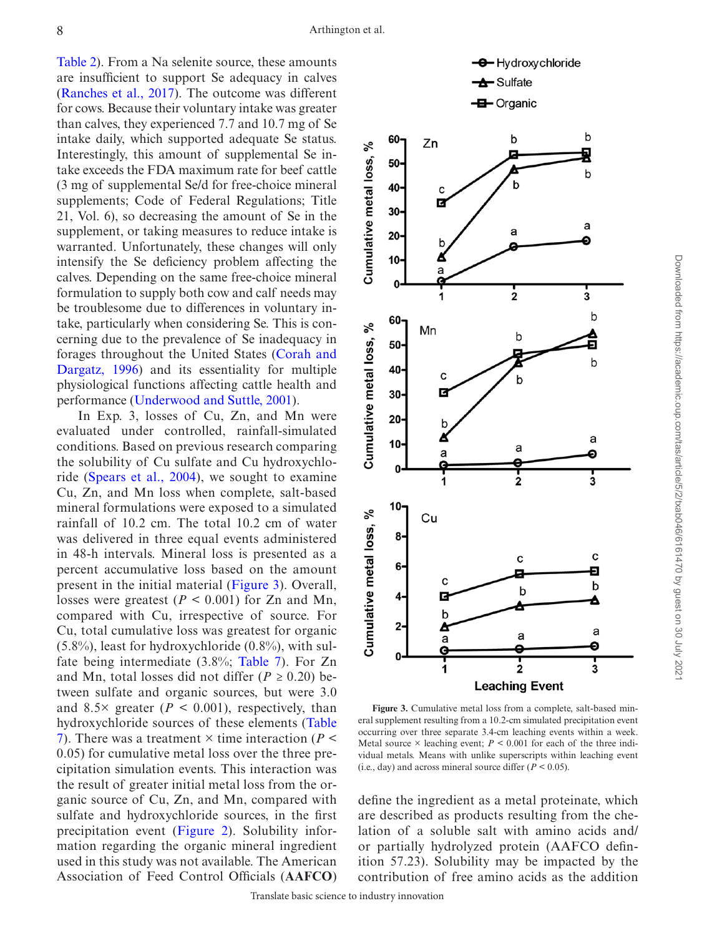[Table 2\)](#page-2-1). From a Na selenite source, these amounts are insufficient to support Se adequacy in calves ([Ranches et al., 2017](#page-9-7)). The outcome was different for cows. Because their voluntary intake was greater than calves, they experienced 7.7 and 10.7 mg of Se intake daily, which supported adequate Se status. Interestingly, this amount of supplemental Se intake exceeds the FDA maximum rate for beef cattle (3 mg of supplemental Se/d for free-choice mineral supplements; Code of Federal Regulations; Title 21, Vol. 6), so decreasing the amount of Se in the supplement, or taking measures to reduce intake is warranted. Unfortunately, these changes will only intensify the Se deficiency problem affecting the calves. Depending on the same free-choice mineral formulation to supply both cow and calf needs may be troublesome due to differences in voluntary intake, particularly when considering Se. This is concerning due to the prevalence of Se inadequacy in forages throughout the United States ([Corah and](#page-8-13)  [Dargatz, 1996](#page-8-13)) and its essentiality for multiple physiological functions affecting cattle health and performance ([Underwood and Suttle, 2001](#page-9-8)).

In Exp. 3, losses of Cu, Zn, and Mn were evaluated under controlled, rainfall-simulated conditions. Based on previous research comparing the solubility of Cu sulfate and Cu hydroxychloride ([Spears et al., 2004\)](#page-9-4), we sought to examine Cu, Zn, and Mn loss when complete, salt-based mineral formulations were exposed to a simulated rainfall of 10.2 cm. The total 10.2 cm of water was delivered in three equal events administered in 48-h intervals. Mineral loss is presented as a percent accumulative loss based on the amount present in the initial material ([Figure 3](#page-7-0)). Overall, losses were greatest (*P <* 0.001) for Zn and Mn, compared with Cu, irrespective of source. For Cu, total cumulative loss was greatest for organic  $(5.8\%)$ , least for hydroxychloride  $(0.8\%)$ , with sulfate being intermediate (3.8%; [Table 7\)](#page-8-14). For Zn and Mn, total losses did not differ ( $P \ge 0.20$ ) between sulfate and organic sources, but were 3.0 and 8.5× greater (*P <* 0.001), respectively, than hydroxychloride sources of these elements [\(Table](#page-8-14)  [7\)](#page-8-14). There was a treatment × time interaction (*P <* 0.05) for cumulative metal loss over the three precipitation simulation events. This interaction was the result of greater initial metal loss from the organic source of Cu, Zn, and Mn, compared with sulfate and hydroxychloride sources, in the first precipitation event ([Figure 2\)](#page-5-0). Solubility information regarding the organic mineral ingredient used in this study was not available. The American Association of Feed Control Officials (**AAFCO**)



<span id="page-7-0"></span>**Figure 3.** Cumulative metal loss from a complete, salt-based mineral supplement resulting from a 10.2-cm simulated precipitation event occurring over three separate 3.4-cm leaching events within a week. Metal source  $\times$  leaching event;  $P \le 0.001$  for each of the three individual metals. Means with unlike superscripts within leaching event (i.e., day) and across mineral source differ (*P <* 0.05).

define the ingredient as a metal proteinate, which are described as products resulting from the chelation of a soluble salt with amino acids and/ or partially hydrolyzed protein (AAFCO definition 57.23). Solubility may be impacted by the contribution of free amino acids as the addition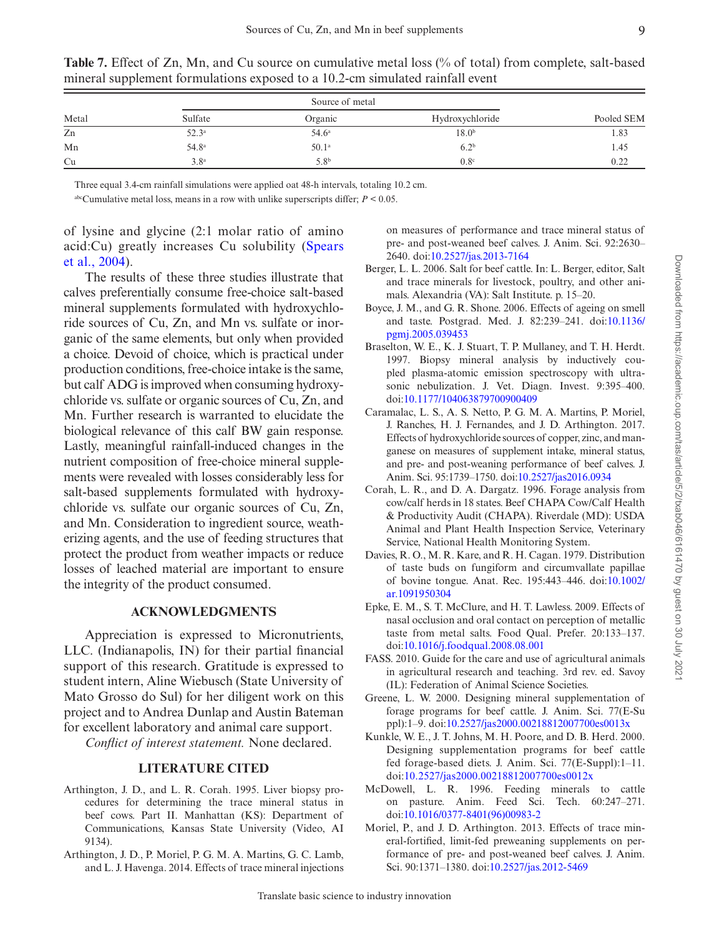|       | Source of metal   |                   |                   |            |
|-------|-------------------|-------------------|-------------------|------------|
| Metal | Sulfate           | Organic           | Hydroxychloride   | Pooled SEM |
| Zn    | $52.3^{a}$        | 54.6 <sup>a</sup> | 18.0 <sup>b</sup> | 1.83       |
| Mn    | 54.8 <sup>a</sup> | 50.1 <sup>a</sup> | 6.2 <sup>b</sup>  | 1.45       |
| Cu    | 3.8 <sup>a</sup>  | 5.8 <sup>b</sup>  | 0.8 <sup>c</sup>  | 0.22       |

<span id="page-8-14"></span>**Table 7.** Effect of Zn, Mn, and Cu source on cumulative metal loss (% of total) from complete, salt-based mineral supplement formulations exposed to a 10.2-cm simulated rainfall event

Three equal 3.4-cm rainfall simulations were applied oat 48-h intervals, totaling 10.2 cm.

abcCumulative metal loss, means in a row with unlike superscripts differ;  $P \le 0.05$ .

of lysine and glycine (2:1 molar ratio of amino acid:Cu) greatly increases Cu solubility [\(Spears](#page-9-4)  [et al., 2004\)](#page-9-4).

The results of these three studies illustrate that calves preferentially consume free-choice salt-based mineral supplements formulated with hydroxychloride sources of Cu, Zn, and Mn vs. sulfate or inorganic of the same elements, but only when provided a choice. Devoid of choice, which is practical under production conditions, free-choice intake is the same, but calf ADG is improved when consuming hydroxychloride vs. sulfate or organic sources of Cu, Zn, and Mn. Further research is warranted to elucidate the biological relevance of this calf BW gain response. Lastly, meaningful rainfall-induced changes in the nutrient composition of free-choice mineral supplements were revealed with losses considerably less for salt-based supplements formulated with hydroxychloride vs. sulfate our organic sources of Cu, Zn, and Mn. Consideration to ingredient source, weatherizing agents, and the use of feeding structures that protect the product from weather impacts or reduce losses of leached material are important to ensure the integrity of the product consumed.

## **ACKNOWLEDGMENTS**

Appreciation is expressed to Micronutrients, LLC. (Indianapolis, IN) for their partial financial support of this research. Gratitude is expressed to student intern, Aline Wiebusch (State University of Mato Grosso do Sul) for her diligent work on this project and to Andrea Dunlap and Austin Bateman for excellent laboratory and animal care support.

*Conflict of interest statement.* None declared.

## **LITERATURE CITED**

- <span id="page-8-8"></span>Arthington, J. D., and L. R. Corah. 1995. Liver biopsy procedures for determining the trace mineral status in beef cows. Part II. Manhattan (KS): Department of Communications, Kansas State University (Video, AI 9134).
- <span id="page-8-12"></span>Arthington, J. D., P. Moriel, P. G. M. A. Martins, G. C. Lamb, and L. J. Havenga. 2014. Effects of trace mineral injections

on measures of performance and trace mineral status of pre- and post-weaned beef calves. J. Anim. Sci. 92:2630– 2640. doi[:10.2527/jas.2013-7164](https://doi.org/10.2527/jas.2013-7164)

- <span id="page-8-11"></span>Berger, L. L. 2006. Salt for beef cattle. In: L. Berger, editor, Salt and trace minerals for livestock, poultry, and other animals. Alexandria (VA): Salt Institute. p. 15–20.
- <span id="page-8-5"></span>Boyce, J. M., and G. R. Shone. 2006. Effects of ageing on smell and taste. Postgrad. Med. J. 82:239–241. doi:[10.1136/](https://doi.org/10.1136/pgmj.2005.039453) [pgmj.2005.039453](https://doi.org/10.1136/pgmj.2005.039453)
- <span id="page-8-9"></span>Braselton, W. E., K. J. Stuart, T. P. Mullaney, and T. H. Herdt. 1997. Biopsy mineral analysis by inductively coupled plasma-atomic emission spectroscopy with ultrasonic nebulization. J. Vet. Diagn. Invest. 9:395–400. doi:[10.1177/104063879700900409](https://doi.org/10.1177/104063879700900409)
- <span id="page-8-6"></span>Caramalac, L. S., A. S. Netto, P. G. M. A. Martins, P. Moriel, J. Ranches, H. J. Fernandes, and J. D. Arthington. 2017. Effects of hydroxychloride sources of copper, zinc, and manganese on measures of supplement intake, mineral status, and pre- and post-weaning performance of beef calves. J. Anim. Sci. 95:1739–1750. doi[:10.2527/jas2016.0934](https://doi.org/10.2527/jas2016.0934)
- <span id="page-8-13"></span>Corah, L. R., and D. A. Dargatz. 1996. Forage analysis from cow/calf herds in 18 states. Beef CHAPA Cow/Calf Health & Productivity Audit (CHAPA). Riverdale (MD): USDA Animal and Plant Health Inspection Service, Veterinary Service, National Health Monitoring System.
- <span id="page-8-4"></span>Davies, R. O., M. R. Kare, and R. H. Cagan. 1979. Distribution of taste buds on fungiform and circumvallate papillae of bovine tongue. Anat. Rec. 195:443–446. doi:[10.1002/](https://doi.org/10.1002/ar.1091950304) [ar.1091950304](https://doi.org/10.1002/ar.1091950304)
- <span id="page-8-10"></span>Epke, E. M., S. T. McClure, and H. T. Lawless. 2009. Effects of nasal occlusion and oral contact on perception of metallic taste from metal salts. Food Qual. Prefer. 20:133–137. doi:[10.1016/j.foodqual.2008.08.001](https://doi.org/10.1016/j.foodqual.2008.08.001)
- <span id="page-8-7"></span>FASS. 2010. Guide for the care and use of agricultural animals in agricultural research and teaching. 3rd rev. ed. Savoy (IL): Federation of Animal Science Societies.
- <span id="page-8-2"></span>Greene, L. W. 2000. Designing mineral supplementation of forage programs for beef cattle. J. Anim. Sci. 77(E-Su ppl):1–9. doi:[10.2527/jas2000.00218812007700es0013x](https://doi.org/10.2527/jas2000.00218812007700es0013x)
- <span id="page-8-0"></span>Kunkle, W. E., J. T. Johns, M. H. Poore, and D. B. Herd. 2000. Designing supplementation programs for beef cattle fed forage-based diets. J. Anim. Sci. 77(E-Suppl):1–11. doi[:10.2527/jas2000.00218812007700es0012x](https://doi.org/10.2527/jas2000.00218812007700es0012x)
- <span id="page-8-1"></span>McDowell, L. R. 1996. Feeding minerals to cattle on pasture. Anim. Feed Sci. Tech. 60:247–271. doi:[10.1016/0377-8401\(96\)00983-2](https://doi.org/10.1016/0377-8401(96)00983-2)
- <span id="page-8-3"></span>Moriel, P., and J. D. Arthington. 2013. Effects of trace mineral-fortified, limit-fed preweaning supplements on performance of pre- and post-weaned beef calves. J. Anim. Sci. 90:1371–1380. doi[:10.2527/jas.2012-5469](https://doi.org/10.2527/jas.2012-5469)